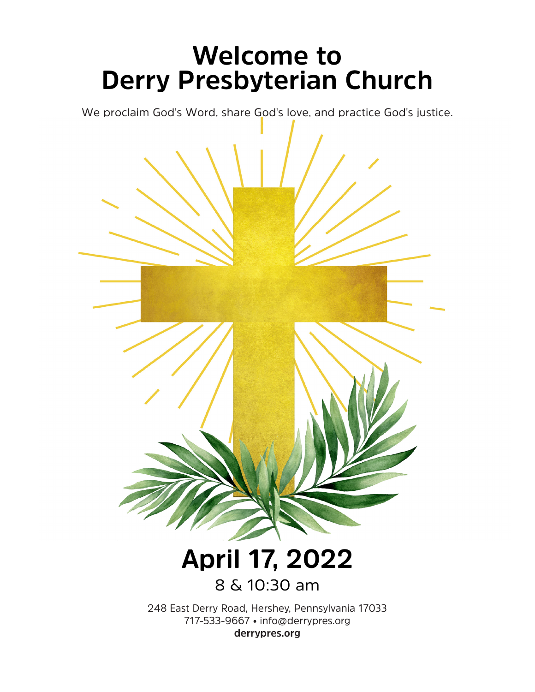## **Welcome to Derry Presbyterian Church**

We proclaim God's Word, share God's love, and practice God's justice.

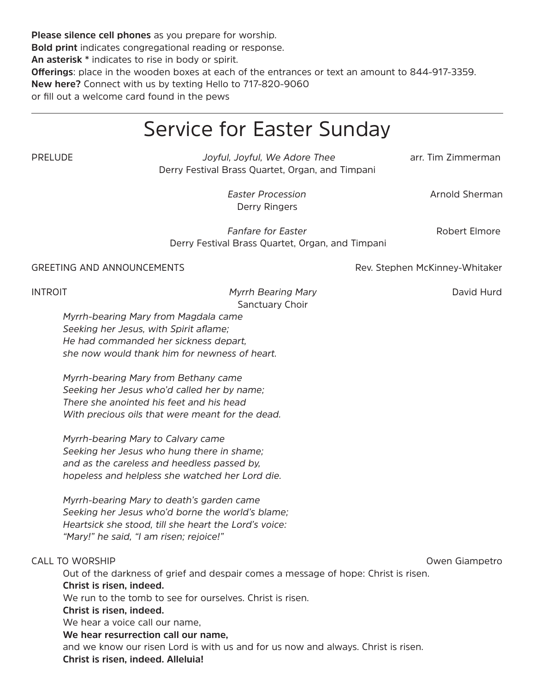**Please silence cell phones** as you prepare for worship. **Bold print** indicates congregational reading or response. **An asterisk \*** indicates to rise in body or spirit. **Offerings**: place in the wooden boxes at each of the entrances or text an amount to 844-917-3359. **New here?** Connect with us by texting Hello to 717-820-9060 or fill out a welcome card found in the pews

## Service for Easter Sunday

PRELUDE *Joyful, Joyful, We Adore Thee* arr. Tim Zimmerman Derry Festival Brass Quartet, Organ, and Timpani

**Easter Procession Arnold Sherman** Derry Ringers

**Fanfare for Easter** Robert Elmore Derry Festival Brass Quartet, Organ, and Timpani

GREETING AND ANNOUNCEMENTS THE SERVICE REV. Stephen McKinney-Whitaker

INTROIT *Myrrh Bearing Mary* David Hurd Sanctuary Choir

*Myrrh-bearing Mary from Magdala came Seeking her Jesus, with Spirit aflame; He had commanded her sickness depart, she now would thank him for newness of heart.*

*Myrrh-bearing Mary from Bethany came Seeking her Jesus who'd called her by name; There she anointed his feet and his head With precious oils that were meant for the dead.*

*Myrrh-bearing Mary to Calvary came Seeking her Jesus who hung there in shame; and as the careless and heedless passed by, hopeless and helpless she watched her Lord die.*

*Myrrh-bearing Mary to death's garden came Seeking her Jesus who'd borne the world's blame; Heartsick she stood, till she heart the Lord's voice: "Mary!" he said, "I am risen; rejoice!"* 

## CALL TO WORSHIP **CALL TO WORSHIP**

Out of the darkness of grief and despair comes a message of hope: Christ is risen. **Christ is risen, indeed.** We run to the tomb to see for ourselves. Christ is risen. **Christ is risen, indeed.** We hear a voice call our name, **We hear resurrection call our name,**  and we know our risen Lord is with us and for us now and always. Christ is risen. **Christ is risen, indeed. Alleluia!**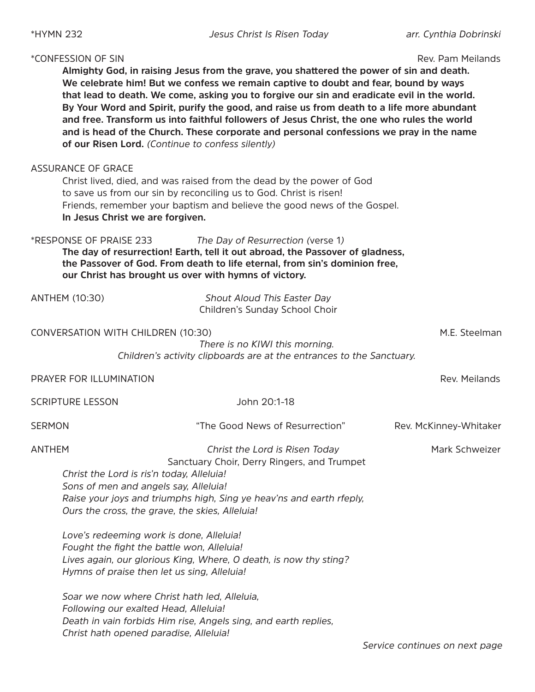\*HYMN 232 *Jesus Christ Is Risen Today arr. Cynthia Dobrinski*

| <i>*CONFESSION OF SIN</i>                                                                                                                              | Almighty God, in raising Jesus from the grave, you shattered the power of sin and death.<br>We celebrate him! But we confess we remain captive to doubt and fear, bound by ways<br>that lead to death. We come, asking you to forgive our sin and eradicate evil in the world.<br>By Your Word and Spirit, purify the good, and raise us from death to a life more abundant<br>and free. Transform us into faithful followers of Jesus Christ, the one who rules the world<br>and is head of the Church. These corporate and personal confessions we pray in the name<br>of our Risen Lord. (Continue to confess silently) | Rev. Pam Meilands      |
|--------------------------------------------------------------------------------------------------------------------------------------------------------|----------------------------------------------------------------------------------------------------------------------------------------------------------------------------------------------------------------------------------------------------------------------------------------------------------------------------------------------------------------------------------------------------------------------------------------------------------------------------------------------------------------------------------------------------------------------------------------------------------------------------|------------------------|
| <b>ASSURANCE OF GRACE</b><br>In Jesus Christ we are forgiven.                                                                                          | Christ lived, died, and was raised from the dead by the power of God<br>to save us from our sin by reconciling us to God. Christ is risen!<br>Friends, remember your baptism and believe the good news of the Gospel.                                                                                                                                                                                                                                                                                                                                                                                                      |                        |
| *RESPONSE OF PRAISE 233                                                                                                                                | The Day of Resurrection (verse 1)<br>The day of resurrection! Earth, tell it out abroad, the Passover of gladness,<br>the Passover of God. From death to life eternal, from sin's dominion free,<br>our Christ has brought us over with hymns of victory.                                                                                                                                                                                                                                                                                                                                                                  |                        |
| <b>ANTHEM (10:30)</b>                                                                                                                                  | Shout Aloud This Easter Day<br>Children's Sunday School Choir                                                                                                                                                                                                                                                                                                                                                                                                                                                                                                                                                              |                        |
| CONVERSATION WITH CHILDREN (10:30)                                                                                                                     | There is no KIWI this morning.<br>Children's activity clipboards are at the entrances to the Sanctuary.                                                                                                                                                                                                                                                                                                                                                                                                                                                                                                                    | M.E. Steelman          |
| PRAYER FOR ILLUMINATION                                                                                                                                |                                                                                                                                                                                                                                                                                                                                                                                                                                                                                                                                                                                                                            | Rev. Meilands          |
| <b>SCRIPTURE LESSON</b>                                                                                                                                | John 20:1-18                                                                                                                                                                                                                                                                                                                                                                                                                                                                                                                                                                                                               |                        |
| <b>SERMON</b>                                                                                                                                          | "The Good News of Resurrection"                                                                                                                                                                                                                                                                                                                                                                                                                                                                                                                                                                                            | Rev. McKinney-Whitaker |
| <b>ANTHEM</b><br>Christ the Lord is ris'n today, Alleluia!<br>Sons of men and angels say, Alleluia!<br>Ours the cross, the grave, the skies, Alleluia! | Christ the Lord is Risen Today<br>Sanctuary Choir, Derry Ringers, and Trumpet<br>Raise your joys and triumphs high, Sing ye heav'ns and earth rfeply,                                                                                                                                                                                                                                                                                                                                                                                                                                                                      | Mark Schweizer         |
| Love's redeeming work is done, Alleluia!<br>Fought the fight the battle won, Alleluia!<br>Hymns of praise then let us sing, Alleluia!                  | Lives again, our glorious King, Where, O death, is now thy sting?                                                                                                                                                                                                                                                                                                                                                                                                                                                                                                                                                          |                        |
| Soar we now where Christ hath led, Alleluia,<br>Following our exalted Head, Alleluia!<br>Christ hath opened paradise, Alleluia!                        | Death in vain forbids Him rise, Angels sing, and earth replies,                                                                                                                                                                                                                                                                                                                                                                                                                                                                                                                                                            |                        |